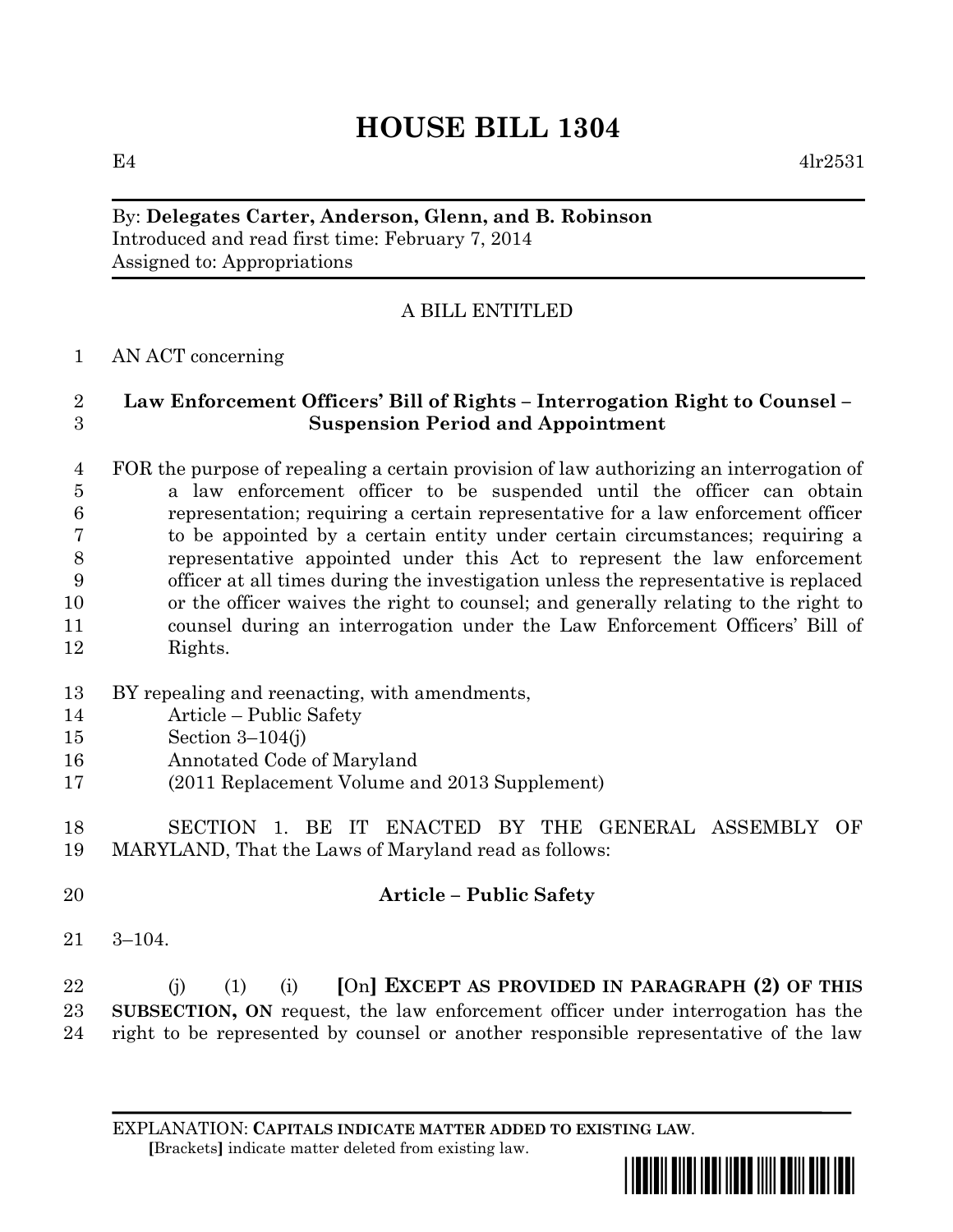# **HOUSE BILL 1304**

E4  $4\text{lr}2531$ 

### By: **Delegates Carter, Anderson, Glenn, and B. Robinson** Introduced and read first time: February 7, 2014 Assigned to: Appropriations

## A BILL ENTITLED

## AN ACT concerning

### **Law Enforcement Officers' Bill of Rights – Interrogation Right to Counsel – Suspension Period and Appointment**

 FOR the purpose of repealing a certain provision of law authorizing an interrogation of a law enforcement officer to be suspended until the officer can obtain representation; requiring a certain representative for a law enforcement officer to be appointed by a certain entity under certain circumstances; requiring a representative appointed under this Act to represent the law enforcement officer at all times during the investigation unless the representative is replaced or the officer waives the right to counsel; and generally relating to the right to counsel during an interrogation under the Law Enforcement Officers' Bill of Rights.

- BY repealing and reenacting, with amendments,
- Article Public Safety
- Section 3–104(j)
- Annotated Code of Maryland
- (2011 Replacement Volume and 2013 Supplement)

 SECTION 1. BE IT ENACTED BY THE GENERAL ASSEMBLY OF MARYLAND, That the Laws of Maryland read as follows:

- **Article – Public Safety**
- 3–104.

 (j) (1) (i) **[**On**] EXCEPT AS PROVIDED IN PARAGRAPH (2) OF THIS SUBSECTION, ON** request, the law enforcement officer under interrogation has the right to be represented by counsel or another responsible representative of the law

EXPLANATION: **CAPITALS INDICATE MATTER ADDED TO EXISTING LAW**.  **[**Brackets**]** indicate matter deleted from existing law.

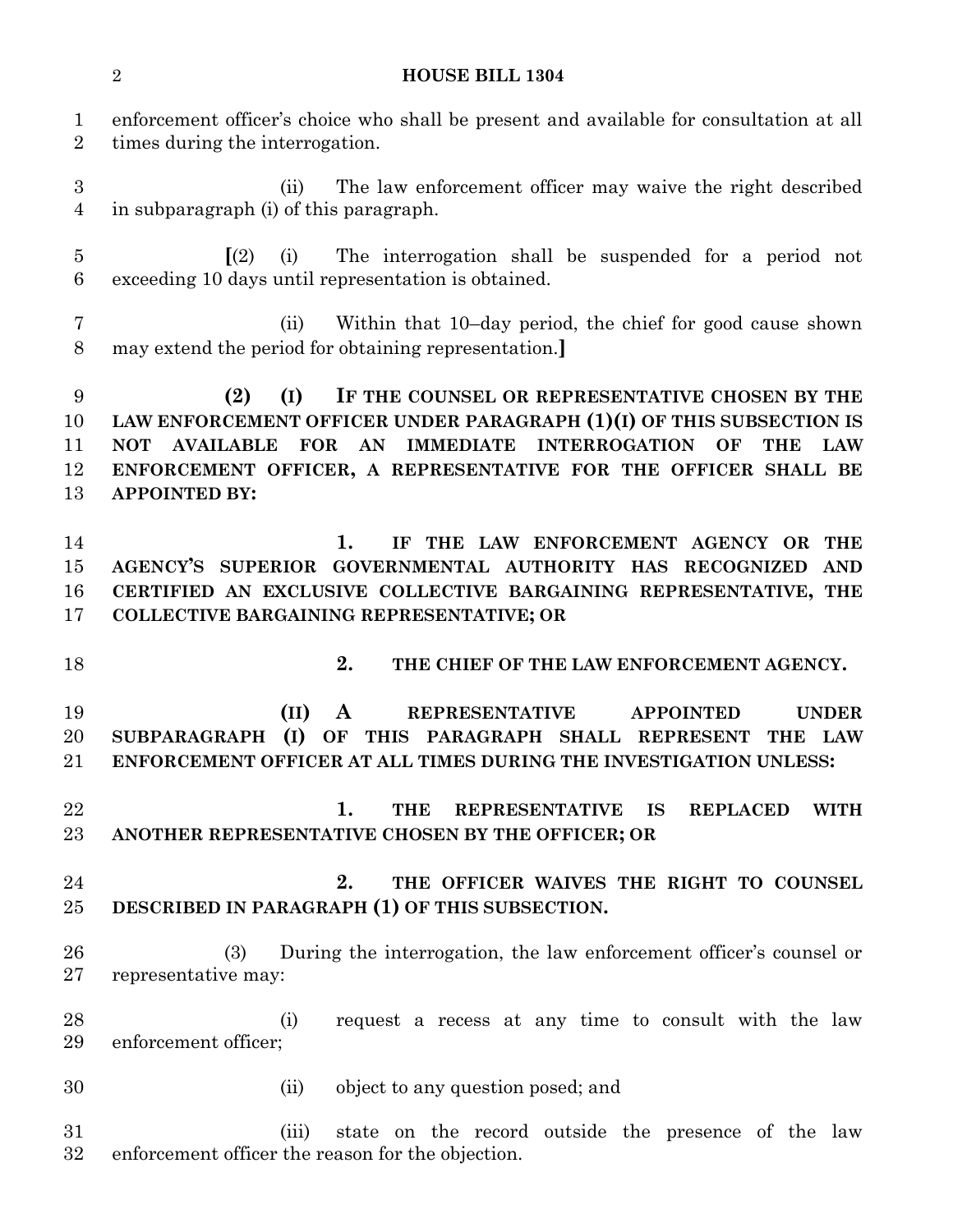enforcement officer's choice who shall be present and available for consultation at all times during the interrogation. (ii) The law enforcement officer may waive the right described in subparagraph (i) of this paragraph. **[**(2) (i) The interrogation shall be suspended for a period not exceeding 10 days until representation is obtained. (ii) Within that 10–day period, the chief for good cause shown may extend the period for obtaining representation.**] (2) (I) IF THE COUNSEL OR REPRESENTATIVE CHOSEN BY THE LAW ENFORCEMENT OFFICER UNDER PARAGRAPH (1)(I) OF THIS SUBSECTION IS NOT AVAILABLE FOR AN IMMEDIATE INTERROGATION OF THE LAW ENFORCEMENT OFFICER, A REPRESENTATIVE FOR THE OFFICER SHALL BE APPOINTED BY: 1. IF THE LAW ENFORCEMENT AGENCY OR THE AGENCY'S SUPERIOR GOVERNMENTAL AUTHORITY HAS RECOGNIZED AND CERTIFIED AN EXCLUSIVE COLLECTIVE BARGAINING REPRESENTATIVE, THE COLLECTIVE BARGAINING REPRESENTATIVE; OR 2. THE CHIEF OF THE LAW ENFORCEMENT AGENCY. (II) A REPRESENTATIVE APPOINTED UNDER SUBPARAGRAPH (I) OF THIS PARAGRAPH SHALL REPRESENT THE LAW ENFORCEMENT OFFICER AT ALL TIMES DURING THE INVESTIGATION UNLESS: 1. THE REPRESENTATIVE IS REPLACED WITH ANOTHER REPRESENTATIVE CHOSEN BY THE OFFICER; OR 2. THE OFFICER WAIVES THE RIGHT TO COUNSEL DESCRIBED IN PARAGRAPH (1) OF THIS SUBSECTION.**  (3) During the interrogation, the law enforcement officer's counsel or representative may: (i) request a recess at any time to consult with the law enforcement officer; (ii) object to any question posed; and (iii) state on the record outside the presence of the law enforcement officer the reason for the objection.

**HOUSE BILL 1304**